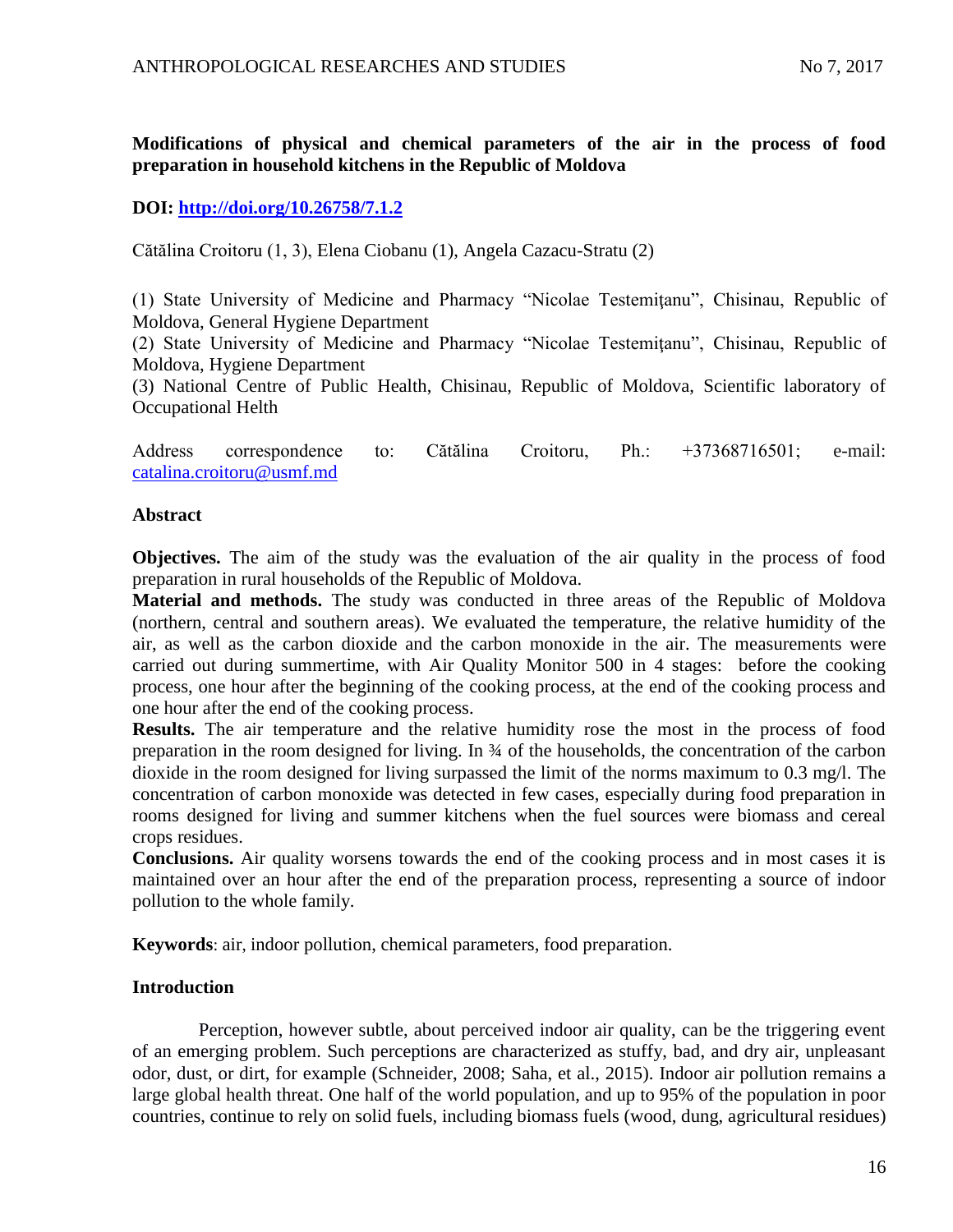# **Modifications of physical and chemical parameters of the air in the process of food preparation in household kitchens in the Republic of Moldova**

## **DOI:<http://doi.org/10.26758/7.1.2>**

Cătălina Croitoru (1, 3), Elena Ciobanu (1), Angela Cazacu-Stratu (2)

(1) State University of Medicine and Pharmacy "Nicolae Testemiţanu", Chisinau, Republic of Moldova, General Hygiene Department

(2) State University of Medicine and Pharmacy "Nicolae Testemitanu", Chisinau, Republic of Moldova, Hygiene Department

(3) National Centre of Public Health, Chisinau, Republic of Moldova, Scientific laboratory of Occupational Helth

Address correspondence to: Cătălina Croitoru, Ph.: +37368716501; e-mail: [catalina.croitoru@usmf.md](mailto:catalina.croitoru@usmf.md)

### **Abstract**

**Objectives.** The aim of the study was the evaluation of the air quality in the process of food preparation in rural households of the Republic of Moldova.

**Material and methods.** The study was conducted in three areas of the Republic of Moldova (northern, central and southern areas). We evaluated the temperature, the relative humidity of the air, as well as the carbon dioxide and the carbon monoxide in the air. The measurements were carried out during summertime, with Air Quality Monitor 500 in 4 stages: before the cooking process, one hour after the beginning of the cooking process, at the end of the cooking process and one hour after the end of the cooking process.

**Results.** The air temperature and the relative humidity rose the most in the process of food preparation in the room designed for living. In ¾ of the households, the concentration of the carbon dioxide in the room designed for living surpassed the limit of the norms maximum to 0.3 mg/l. The concentration of carbon monoxide was detected in few cases, especially during food preparation in rooms designed for living and summer kitchens when the fuel sources were biomass and cereal crops residues.

**Conclusions.** Air quality worsens towards the end of the cooking process and in most cases it is maintained over an hour after the end of the preparation process, representing a source of indoor pollution to the whole family.

**Keywords**: air, indoor pollution, chemical parameters, food preparation.

### **Introduction**

Perception, however subtle, about perceived indoor air quality, can be the triggering event of an emerging problem. Such perceptions are characterized as stuffy, bad, and dry air, unpleasant odor, dust, or dirt, for example (Schneider, 2008; Saha, et al., 2015). Indoor air pollution remains a large global health threat. One half of the world population, and up to 95% of the population in poor countries, continue to rely on solid fuels, including biomass fuels (wood, dung, agricultural residues)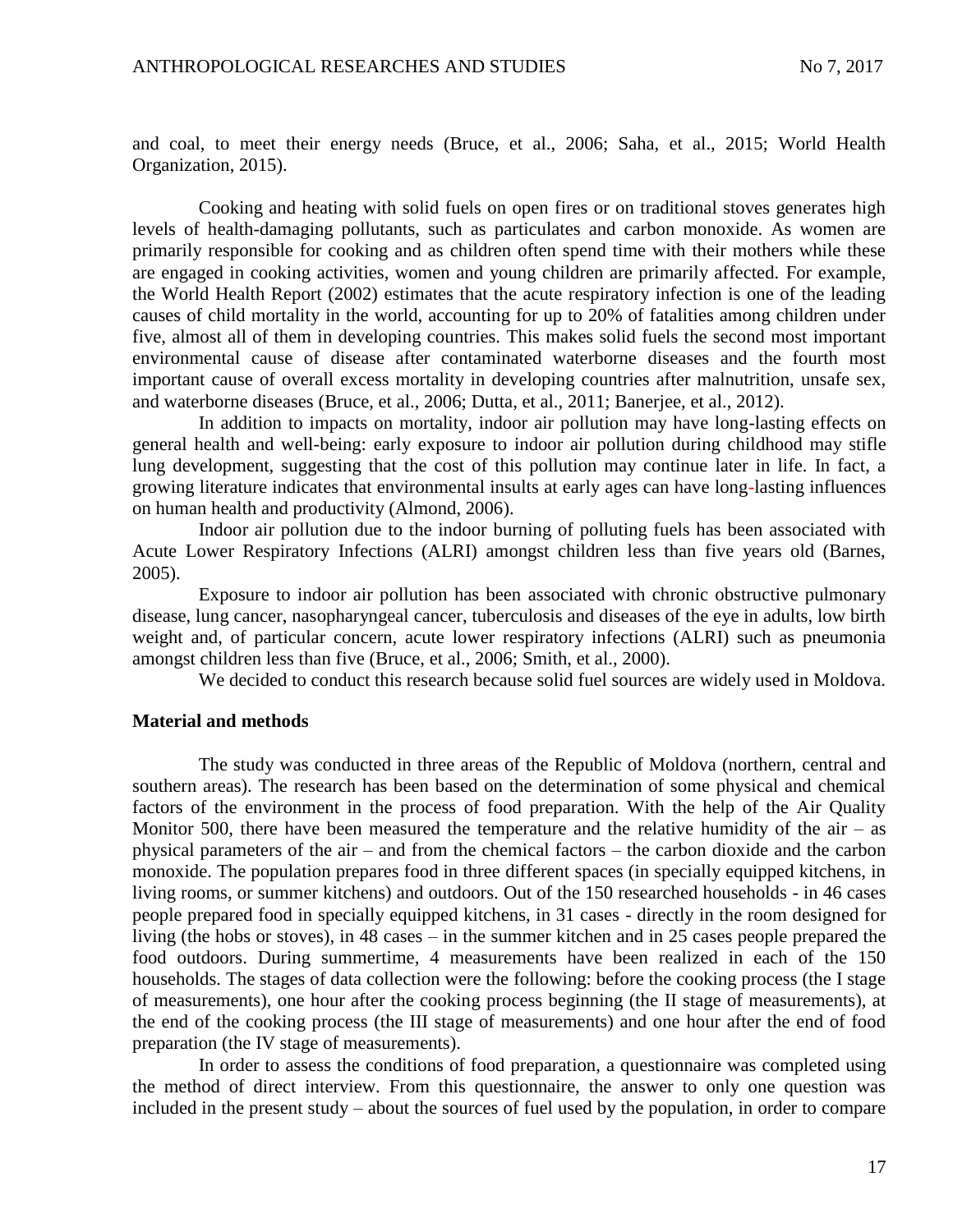and coal, to meet their energy needs (Bruce, et al., 2006; Saha, et al., 2015; World Health Organization, 2015).

Cooking and heating with solid fuels on open fires or on traditional stoves generates high levels of health-damaging pollutants, such as particulates and carbon monoxide. As women are primarily responsible for cooking and as children often spend time with their mothers while these are engaged in cooking activities, women and young children are primarily affected. For example, the World Health Report (2002) estimates that the acute respiratory infection is one of the leading causes of child mortality in the world, accounting for up to 20% of fatalities among children under five, almost all of them in developing countries. This makes solid fuels the second most important environmental cause of disease after contaminated waterborne diseases and the fourth most important cause of overall excess mortality in developing countries after malnutrition, unsafe sex, and waterborne diseases (Bruce, et al., 2006; Dutta, et al., 2011; Banerjee, et al., 2012).

In addition to impacts on mortality, indoor air pollution may have long-lasting effects on general health and well-being: early exposure to indoor air pollution during childhood may stifle lung development, suggesting that the cost of this pollution may continue later in life. In fact, a growing literature indicates that environmental insults at early ages can have long-lasting influences on human health and productivity (Almond, 2006).

Indoor air pollution due to the indoor burning of polluting fuels has been associated with Acute Lower Respiratory Infections (ALRI) amongst children less than five years old (Barnes, 2005).

Exposure to indoor air pollution has been associated with chronic obstructive pulmonary disease, lung cancer, nasopharyngeal cancer, tuberculosis and diseases of the eye in adults, low birth weight and, of particular concern, acute lower respiratory infections (ALRI) such as pneumonia amongst children less than five (Bruce, et al., 2006; Smith, et al., 2000).

We decided to conduct this research because solid fuel sources are widely used in Moldova.

#### **Material and methods**

The study was conducted in three areas of the Republic of Moldova (northern, central and southern areas). The research has been based on the determination of some physical and chemical factors of the environment in the process of food preparation. With the help of the Air Quality Monitor 500, there have been measured the temperature and the relative humidity of the air – as physical parameters of the air – and from the chemical factors – the carbon dioxide and the carbon monoxide. The population prepares food in three different spaces (in specially equipped kitchens, in living rooms, or summer kitchens) and outdoors. Out of the 150 researched households - in 46 cases people prepared food in specially equipped kitchens, in 31 cases - directly in the room designed for living (the hobs or stoves), in 48 cases – in the summer kitchen and in 25 cases people prepared the food outdoors. During summertime, 4 measurements have been realized in each of the 150 households. The stages of data collection were the following: before the cooking process (the I stage of measurements), one hour after the cooking process beginning (the II stage of measurements), at the end of the cooking process (the III stage of measurements) and one hour after the end of food preparation (the IV stage of measurements).

In order to assess the conditions of food preparation, a questionnaire was completed using the method of direct interview. From this questionnaire, the answer to only one question was included in the present study – about the sources of fuel used by the population, in order to compare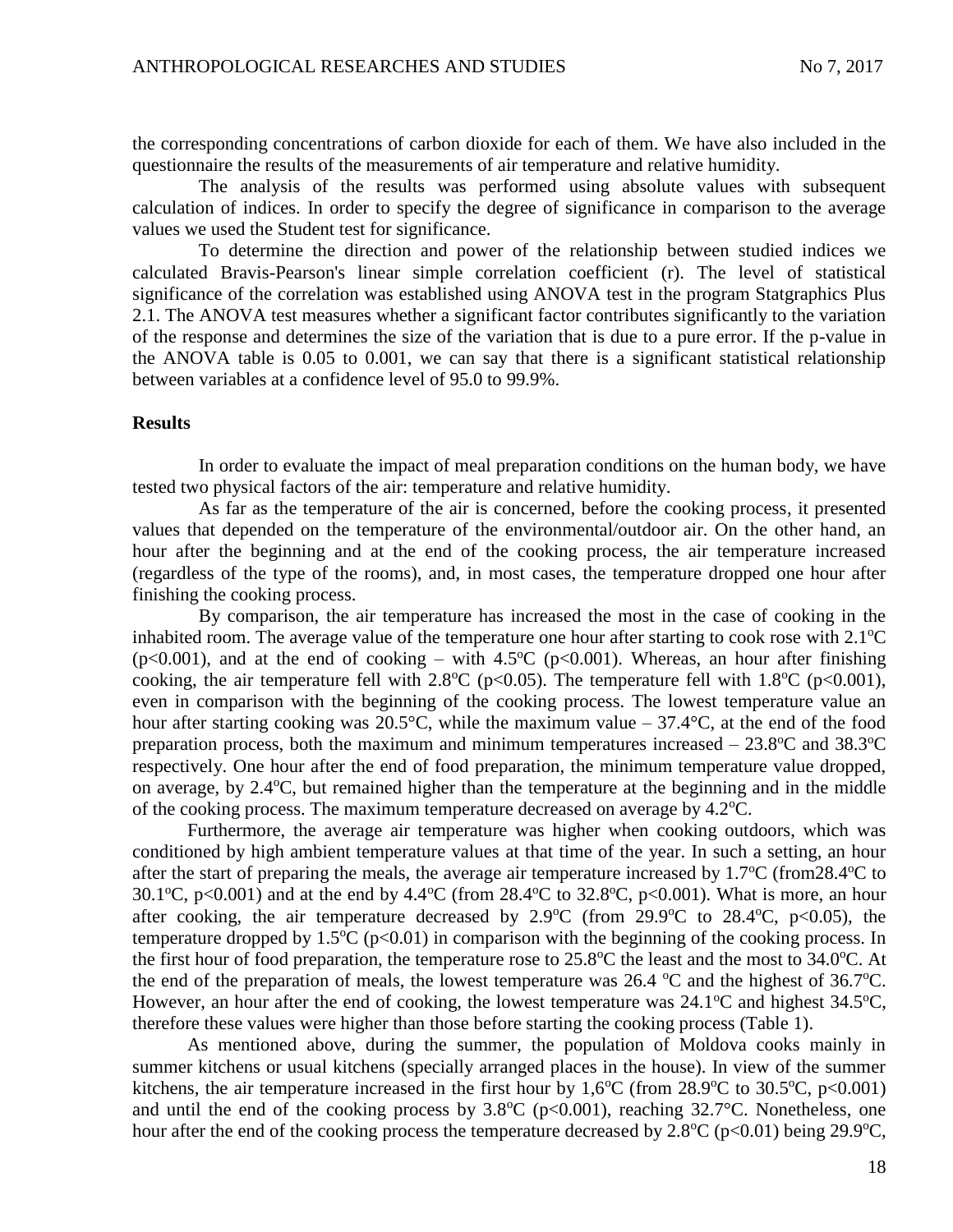the corresponding concentrations of carbon dioxide for each of them. We have also included in the questionnaire the results of the measurements of air temperature and relative humidity.

The analysis of the results was performed using absolute values with subsequent calculation of indices. In order to specify the degree of significance in comparison to the average values we used the Student test for significance.

To determine the direction and power of the relationship between studied indices we calculated Bravis-Pearson's linear simple correlation coefficient (r). The level of statistical significance of the correlation was established using ANOVA test in the program Statgraphics Plus 2.1. The ANOVA test measures whether a significant factor contributes significantly to the variation of the response and determines the size of the variation that is due to a pure error. If the p-value in the ANOVA table is 0.05 to 0.001, we can say that there is a significant statistical relationship between variables at a confidence level of 95.0 to 99.9%.

#### **Results**

In order to evaluate the impact of meal preparation conditions on the human body, we have tested two physical factors of the air: temperature and relative humidity.

As far as the temperature of the air is concerned, before the cooking process, it presented values that depended on the temperature of the environmental/outdoor air. On the other hand, an hour after the beginning and at the end of the cooking process, the air temperature increased (regardless of the type of the rooms), and, in most cases, the temperature dropped one hour after finishing the cooking process.

By comparison, the air temperature has increased the most in the case of cooking in the inhabited room. The average value of the temperature one hour after starting to cook rose with  $2.1^{\circ}$ C ( $p<0.001$ ), and at the end of cooking – with 4.5<sup>o</sup>C ( $p<0.001$ ). Whereas, an hour after finishing cooking, the air temperature fell with 2.8<sup>o</sup>C (p<0.05). The temperature fell with 1.8<sup>o</sup>C (p<0.001), even in comparison with the beginning of the cooking process. The lowest temperature value an hour after starting cooking was 20.5°C, while the maximum value – 37.4°C, at the end of the food preparation process, both the maximum and minimum temperatures increased  $-23.8^{\circ}$ C and 38.3<sup>o</sup>C respectively. One hour after the end of food preparation, the minimum temperature value dropped, on average, by  $2.4^{\circ}$ C, but remained higher than the temperature at the beginning and in the middle of the cooking process. The maximum temperature decreased on average by  $4.2^{\circ}$ C.

Furthermore, the average air temperature was higher when cooking outdoors, which was conditioned by high ambient temperature values at that time of the year. In such a setting, an hour after the start of preparing the meals, the average air temperature increased by  $1.7^{\circ}$ C (from28.4 $^{\circ}$ C to 30.1<sup>o</sup>C, p<0.001) and at the end by 4.4<sup>o</sup>C (from 28.4<sup>o</sup>C to 32.8<sup>o</sup>C, p<0.001). What is more, an hour after cooking, the air temperature decreased by  $2.9^{\circ}C$  (from  $29.9^{\circ}C$  to  $28.4^{\circ}C$ , p $\lt 0.05$ ), the temperature dropped by  $1.5^{\circ}C$  (p<0.01) in comparison with the beginning of the cooking process. In the first hour of food preparation, the temperature rose to  $25.8^{\circ}$ C the least and the most to  $34.0^{\circ}$ C. At the end of the preparation of meals, the lowest temperature was  $26.4 \text{ °C}$  and the highest of  $36.7 \text{ °C}$ . However, an hour after the end of cooking, the lowest temperature was  $24.1^{\circ}$ C and highest  $34.5^{\circ}$ C, therefore these values were higher than those before starting the cooking process (Table 1).

As mentioned above, during the summer, the population of Moldova cooks mainly in summer kitchens or usual kitchens (specially arranged places in the house). In view of the summer kitchens, the air temperature increased in the first hour by  $1.6^{\circ}$ C (from 28.9<sup>o</sup>C to 30.5<sup>o</sup>C, p<0.001) and until the end of the cooking process by  $3.8^{\circ}C$  (p<0.001), reaching  $32.7^{\circ}C$ . Nonetheless, one hour after the end of the cooking process the temperature decreased by  $2.8^{\circ}C$  (p<0.01) being 29.9 $^{\circ}C$ ,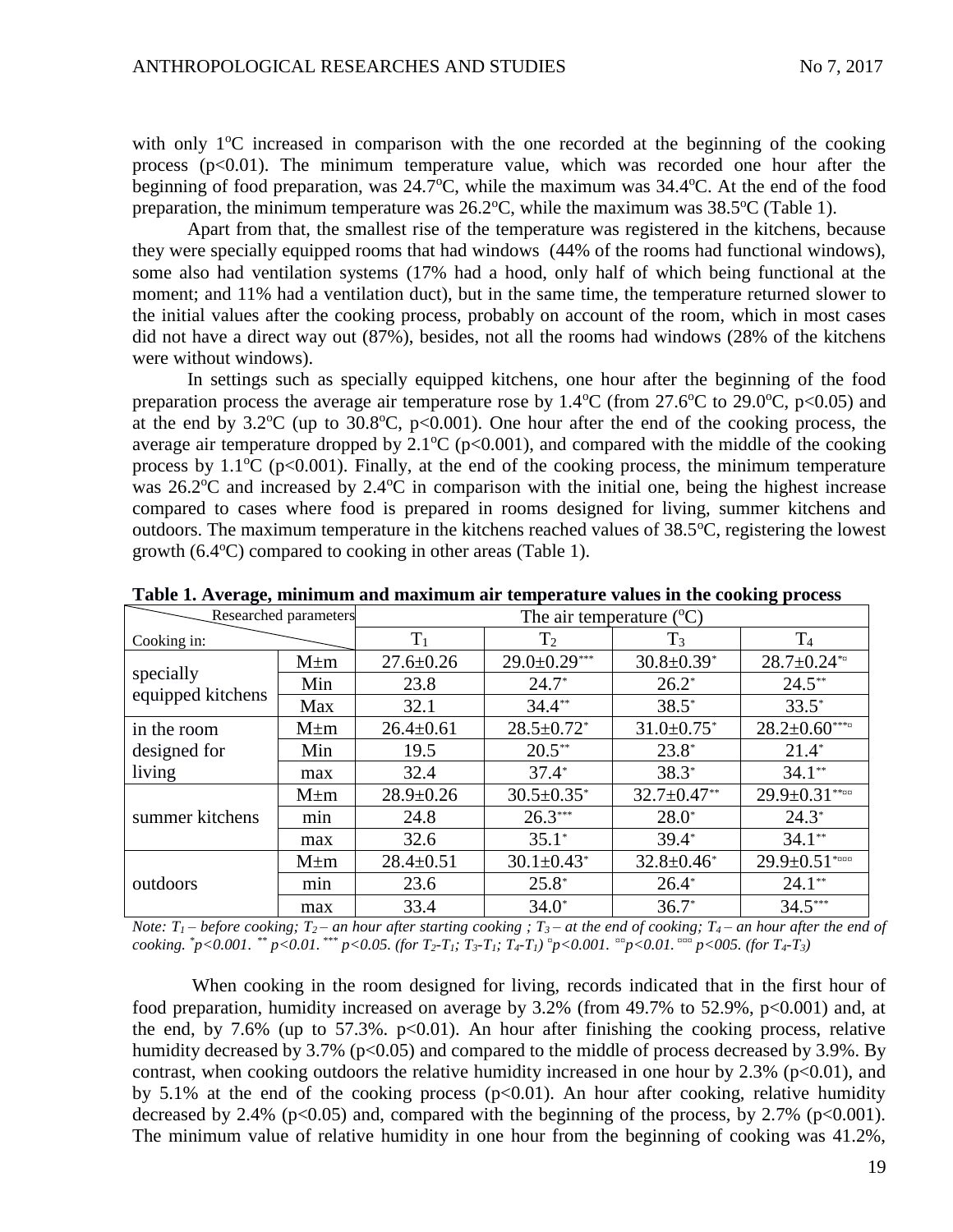with only  $1^{\circ}$ C increased in comparison with the one recorded at the beginning of the cooking process  $(p<0.01)$ . The minimum temperature value, which was recorded one hour after the beginning of food preparation, was  $24.7^{\circ}$ C, while the maximum was  $34.4^{\circ}$ C. At the end of the food preparation, the minimum temperature was  $26.2^{\circ}\text{C}$ , while the maximum was  $38.5^{\circ}\text{C}$  (Table 1).

Apart from that, the smallest rise of the temperature was registered in the kitchens, because they were specially equipped rooms that had windows (44% of the rooms had functional windows), some also had ventilation systems (17% had a hood, only half of which being functional at the moment; and 11% had a ventilation duct), but in the same time, the temperature returned slower to the initial values after the cooking process, probably on account of the room, which in most cases did not have a direct way out (87%), besides, not all the rooms had windows (28% of the kitchens were without windows).

In settings such as specially equipped kitchens, one hour after the beginning of the food preparation process the average air temperature rose by  $1.4^{\circ}$ C (from 27.6<sup>o</sup>C to 29.0<sup>o</sup>C, p<0.05) and at the end by  $3.2^{\circ}C$  (up to  $30.8^{\circ}C$ , p<0.001). One hour after the end of the cooking process, the average air temperature dropped by  $2.1^{\circ}C$  (p<0.001), and compared with the middle of the cooking process by  $1.1^{\circ}C$  (p<0.001). Finally, at the end of the cooking process, the minimum temperature was  $26.2^{\circ}$ C and increased by  $2.4^{\circ}$ C in comparison with the initial one, being the highest increase compared to cases where food is prepared in rooms designed for living, summer kitchens and outdoors. The maximum temperature in the kitchens reached values of  $38.5^{\circ}$ C, registering the lowest growth  $(6.4^{\circ}C)$  compared to cooking in other areas (Table 1).

| Researched parameters                 |           | The air temperature $(^{\circ}C)$ |                              |                              |                               |  |
|---------------------------------------|-----------|-----------------------------------|------------------------------|------------------------------|-------------------------------|--|
| Cooking in:                           |           | $T_1$                             | T <sub>2</sub>               | $T_3$                        | T <sub>4</sub>                |  |
| specially<br>equipped kitchens        | $M \pm m$ | $27.6 \pm 0.26$                   | $29.0 \pm 0.29***$           | $30.8 \pm 0.39$ <sup>*</sup> | $28.7 \pm 0.24$ <sup>**</sup> |  |
|                                       | Min       | 23.8                              | $24.7*$                      | $26.2*$                      | $24.5**$                      |  |
|                                       | Max       | 32.1                              | $34.4**$                     | $38.5*$                      | $33.5*$                       |  |
| in the room<br>designed for<br>living | $M \pm m$ | $26.4 \pm 0.61$                   | $28.5 \pm 0.72$ <sup>*</sup> | $31.0 \pm 0.75$ <sup>*</sup> | $28.2 \pm 0.60***$            |  |
|                                       | Min       | 19.5                              | $20.5***$                    | $23.8*$                      | $21.4*$                       |  |
|                                       | max       | 32.4                              | $37.4*$                      | $38.3*$                      | $34.1**$                      |  |
| summer kitchens                       | $M \pm m$ | $28.9 \pm 0.26$                   | $30.5 \pm 0.35$ *            | $32.7 \pm 0.47$ **           | $29.9 \pm 0.31***$            |  |
|                                       | min       | 24.8                              | $26.3***$                    | $28.0*$                      | $24.3*$                       |  |
|                                       | max       | 32.6                              | $35.1*$                      | $39.4*$                      | $34.1**$                      |  |
| outdoors                              | $M \pm m$ | $28.4 \pm 0.51$                   | $30.1 \pm 0.43^*$            | $32.8 \pm 0.46^*$            | $29.9 \pm 0.51$ *             |  |
|                                       | min       | 23.6                              | $25.8*$                      | $26.4*$                      | $24.1**$                      |  |
|                                       | max       | 33.4                              | $34.0*$                      | $36.7*$                      | $34.5***$                     |  |

**Table 1. Average, minimum and maximum air temperature values in the cooking process**

*Note:*  $T_1$  – *before cooking;*  $T_2$  – *an hour after starting cooking;*  $T_3$  – *at the end of cooking;*  $T_4$  – *an hour after the end of* cooking. \*p<0.001. \*\* p<0.01. \*\*\* p<0.05. (for  $T_2$ - $T_1$ ;  $T_3$ - $T_1$ ;  $T_4$ - $T_1$ )  $^{\text{tr}}$ p<0.001.  $^{\text{max}}$ p<0.01.  $^{\text{max}}$ p<005. (for  $T_4$ - $T_3$ )

When cooking in the room designed for living, records indicated that in the first hour of food preparation, humidity increased on average by 3.2% (from 49.7% to 52.9%, p<0.001) and, at the end, by 7.6% (up to 57.3%.  $p<0.01$ ). An hour after finishing the cooking process, relative humidity decreased by 3.7% ( $p<0.05$ ) and compared to the middle of process decreased by 3.9%. By contrast, when cooking outdoors the relative humidity increased in one hour by  $2.3\%$  ( $p<0.01$ ), and by 5.1% at the end of the cooking process  $(p<0.01)$ . An hour after cooking, relative humidity decreased by 2.4% ( $p<0.05$ ) and, compared with the beginning of the process, by 2.7% ( $p<0.001$ ). The minimum value of relative humidity in one hour from the beginning of cooking was 41.2%,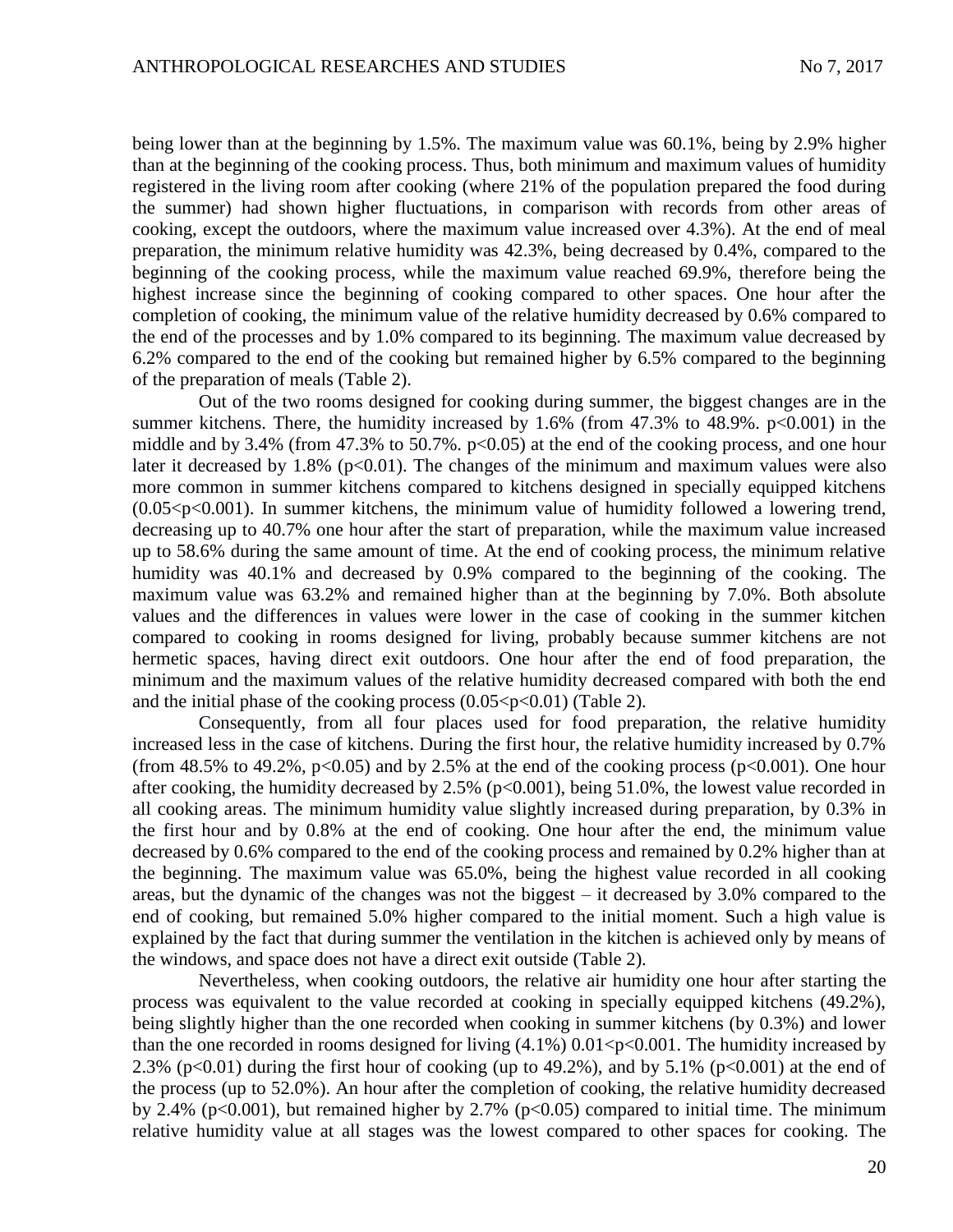being lower than at the beginning by 1.5%. The maximum value was 60.1%, being by 2.9% higher than at the beginning of the cooking process. Thus, both minimum and maximum values of humidity registered in the living room after cooking (where 21% of the population prepared the food during the summer) had shown higher fluctuations, in comparison with records from other areas of cooking, except the outdoors, where the maximum value increased over 4.3%). At the end of meal preparation, the minimum relative humidity was 42.3%, being decreased by 0.4%, compared to the beginning of the cooking process, while the maximum value reached 69.9%, therefore being the highest increase since the beginning of cooking compared to other spaces. One hour after the completion of cooking, the minimum value of the relative humidity decreased by 0.6% compared to the end of the processes and by 1.0% compared to its beginning. The maximum value decreased by 6.2% compared to the end of the cooking but remained higher by 6.5% compared to the beginning of the preparation of meals (Table 2).

Out of the two rooms designed for cooking during summer, the biggest changes are in the summer kitchens. There, the humidity increased by  $1.6\%$  (from  $47.3\%$  to  $48.9\%$ .  $p<0.001$ ) in the middle and by 3.4% (from 47.3% to 50.7%.  $p<0.05$ ) at the end of the cooking process, and one hour later it decreased by 1.8% ( $p<0.01$ ). The changes of the minimum and maximum values were also more common in summer kitchens compared to kitchens designed in specially equipped kitchens  $(0.05 < p < 0.001)$ . In summer kitchens, the minimum value of humidity followed a lowering trend, decreasing up to 40.7% one hour after the start of preparation, while the maximum value increased up to 58.6% during the same amount of time. At the end of cooking process, the minimum relative humidity was 40.1% and decreased by 0.9% compared to the beginning of the cooking. The maximum value was 63.2% and remained higher than at the beginning by 7.0%. Both absolute values and the differences in values were lower in the case of cooking in the summer kitchen compared to cooking in rooms designed for living, probably because summer kitchens are not hermetic spaces, having direct exit outdoors. One hour after the end of food preparation, the minimum and the maximum values of the relative humidity decreased compared with both the end and the initial phase of the cooking process  $(0.05 < p < 0.01)$  (Table 2).

Consequently, from all four places used for food preparation, the relative humidity increased less in the case of kitchens. During the first hour, the relative humidity increased by 0.7% (from 48.5% to 49.2%,  $p<0.05$ ) and by 2.5% at the end of the cooking process ( $p<0.001$ ). One hour after cooking, the humidity decreased by 2.5% ( $p<0.001$ ), being 51.0%, the lowest value recorded in all cooking areas. The minimum humidity value slightly increased during preparation, by 0.3% in the first hour and by 0.8% at the end of cooking. One hour after the end, the minimum value decreased by 0.6% compared to the end of the cooking process and remained by 0.2% higher than at the beginning. The maximum value was 65.0%, being the highest value recorded in all cooking areas, but the dynamic of the changes was not the biggest – it decreased by 3.0% compared to the end of cooking, but remained 5.0% higher compared to the initial moment. Such a high value is explained by the fact that during summer the ventilation in the kitchen is achieved only by means of the windows, and space does not have a direct exit outside (Table 2).

Nevertheless, when cooking outdoors, the relative air humidity one hour after starting the process was equivalent to the value recorded at cooking in specially equipped kitchens (49.2%), being slightly higher than the one recorded when cooking in summer kitchens (by 0.3%) and lower than the one recorded in rooms designed for living  $(4.1\%)$  0.01 <p < 0.001. The humidity increased by 2.3% ( $p<0.01$ ) during the first hour of cooking (up to 49.2%), and by 5.1% ( $p<0.001$ ) at the end of the process (up to 52.0%). An hour after the completion of cooking, the relative humidity decreased by 2.4% (p<0.001), but remained higher by 2.7% (p<0.05) compared to initial time. The minimum relative humidity value at all stages was the lowest compared to other spaces for cooking. The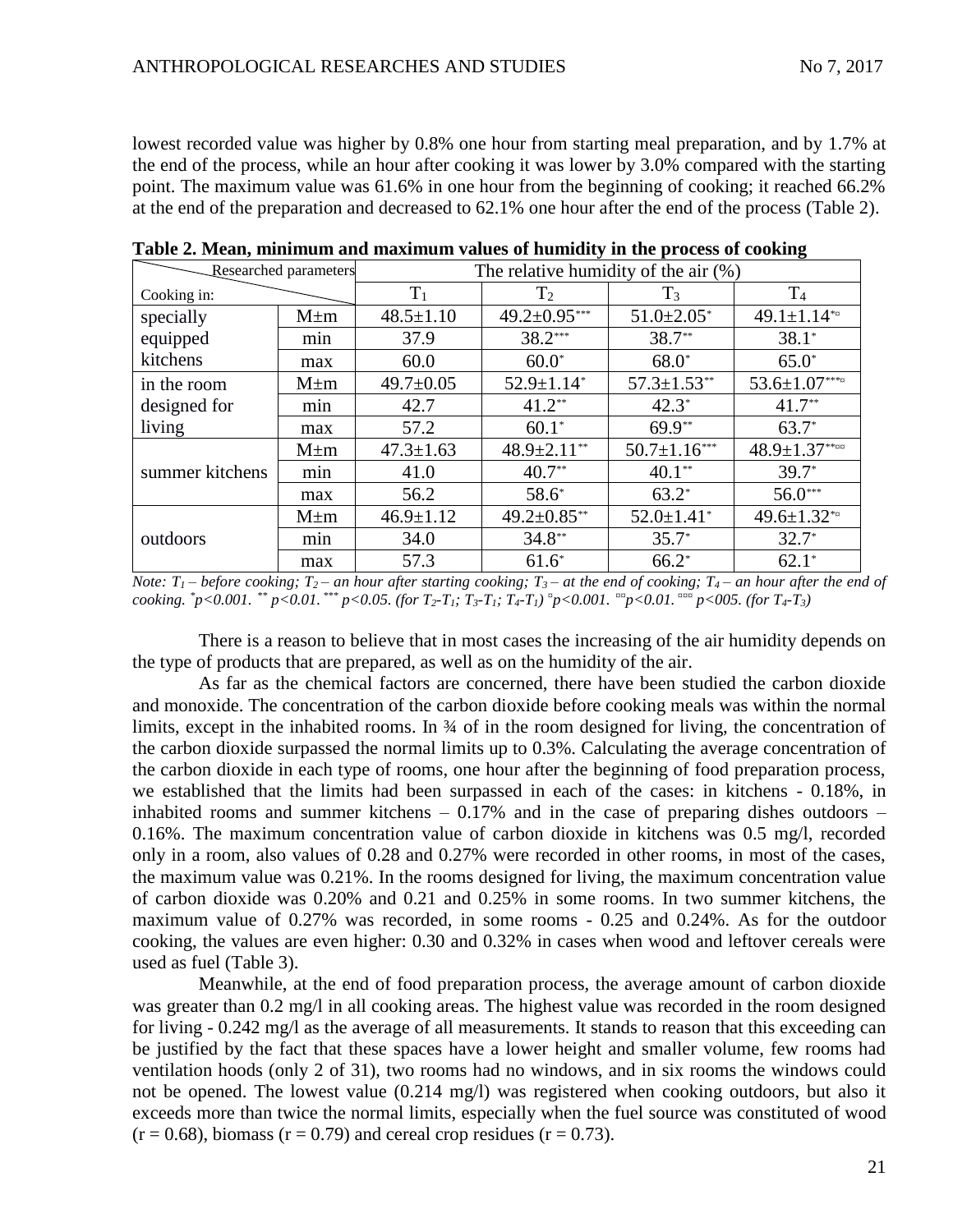lowest recorded value was higher by 0.8% one hour from starting meal preparation, and by 1.7% at the end of the process, while an hour after cooking it was lower by 3.0% compared with the starting point. The maximum value was 61.6% in one hour from the beginning of cooking; it reached 66.2% at the end of the preparation and decreased to 62.1% one hour after the end of the process (Table 2).

| Researched parameters |           | The relative humidity of the air $(\%)$ |                              |                    |                        |  |
|-----------------------|-----------|-----------------------------------------|------------------------------|--------------------|------------------------|--|
| Cooking in:           |           | $T_1$                                   | T <sub>2</sub>               | $T_3$              | T <sub>4</sub>         |  |
| specially             | $M \pm m$ | $48.5 \pm 1.10$                         | $49.2 \pm 0.95***$           | $51.0 \pm 2.05^*$  | 49.1±1.14 $*$          |  |
| equipped              | min       | 37.9                                    | 38.2***                      | 38.7**             | $38.1*$                |  |
| kitchens              | max       | 60.0                                    | $60.0*$                      | $68.0*$            | $65.0*$                |  |
| in the room           | $M \pm m$ | $49.7 \pm 0.05$                         | $52.9 \pm 1.14$ <sup>*</sup> | $57.3 \pm 1.53$ ** | $53.6 \pm 1.07***$     |  |
| designed for          | min       | 42.7                                    | $41.2**$                     | $42.3*$            | $41.7**$               |  |
| living                | max       | 57.2                                    | $60.1*$                      | $69.9**$           | $63.7*$                |  |
| summer kitchens       | $M \pm m$ | $47.3 \pm 1.63$                         | $48.9 \pm 2.11$ **           | $50.7 \pm 1.16***$ | $48.9 \pm 1.37$ ****** |  |
|                       | min       | 41.0                                    | $40.7**$                     | $40.1**$           | $39.7*$                |  |
|                       | max       | 56.2                                    | 58.6*                        | $63.2*$            | 56.0***                |  |
| outdoors              | $M \pm m$ | $46.9 \pm 1.12$                         | $49.2 \pm 0.85$ **           | $52.0 \pm 1.41^*$  | 49.6 $\pm$ 1.32 $*$    |  |
|                       | min       | 34.0                                    | $34.8**$                     | $35.7*$            | $32.7*$                |  |
|                       | max       | 57.3                                    | $61.6*$                      | $66.2*$            | $62.1*$                |  |

**Table 2. Mean, minimum and maximum values of humidity in the process of cooking**

*Note:*  $T_1$  – *before cooking;*  $T_2$  – *an hour after starting cooking;*  $T_3$  – *at the end of cooking;*  $T_4$  – *an hour after the end of* cooking. \*p<0.001. \*\* p<0.01. \*\*\* p<0.05. (for T2-T1; T3-T1; T4-T1)  ${}^{\text{m}}$ p<0.001.  ${}^{\text{mm}}$ p<0.01.  ${}^{\text{mm}}$ p<0.05. (for T4-T3)

There is a reason to believe that in most cases the increasing of the air humidity depends on the type of products that are prepared, as well as on the humidity of the air.

As far as the chemical factors are concerned, there have been studied the carbon dioxide and monoxide. The concentration of the carbon dioxide before cooking meals was within the normal limits, except in the inhabited rooms. In ¾ of in the room designed for living, the concentration of the carbon dioxide surpassed the normal limits up to 0.3%. Calculating the average concentration of the carbon dioxide in each type of rooms, one hour after the beginning of food preparation process, we established that the limits had been surpassed in each of the cases: in kitchens - 0.18%, in inhabited rooms and summer kitchens  $-0.17\%$  and in the case of preparing dishes outdoors  $-$ 0.16%. The maximum concentration value of carbon dioxide in kitchens was 0.5 mg/l, recorded only in a room, also values of 0.28 and 0.27% were recorded in other rooms, in most of the cases, the maximum value was 0.21%. In the rooms designed for living, the maximum concentration value of carbon dioxide was 0.20% and 0.21 and 0.25% in some rooms. In two summer kitchens, the maximum value of 0.27% was recorded, in some rooms - 0.25 and 0.24%. As for the outdoor cooking, the values are even higher: 0.30 and 0.32% in cases when wood and leftover cereals were used as fuel (Table 3).

Meanwhile, at the end of food preparation process, the average amount of carbon dioxide was greater than 0.2 mg/l in all cooking areas. The highest value was recorded in the room designed for living - 0.242 mg/l as the average of all measurements. It stands to reason that this exceeding can be justified by the fact that these spaces have a lower height and smaller volume, few rooms had ventilation hoods (only 2 of 31), two rooms had no windows, and in six rooms the windows could not be opened. The lowest value (0.214 mg/l) was registered when cooking outdoors, but also it exceeds more than twice the normal limits, especially when the fuel source was constituted of wood  $(r = 0.68)$ , biomass  $(r = 0.79)$  and cereal crop residues  $(r = 0.73)$ .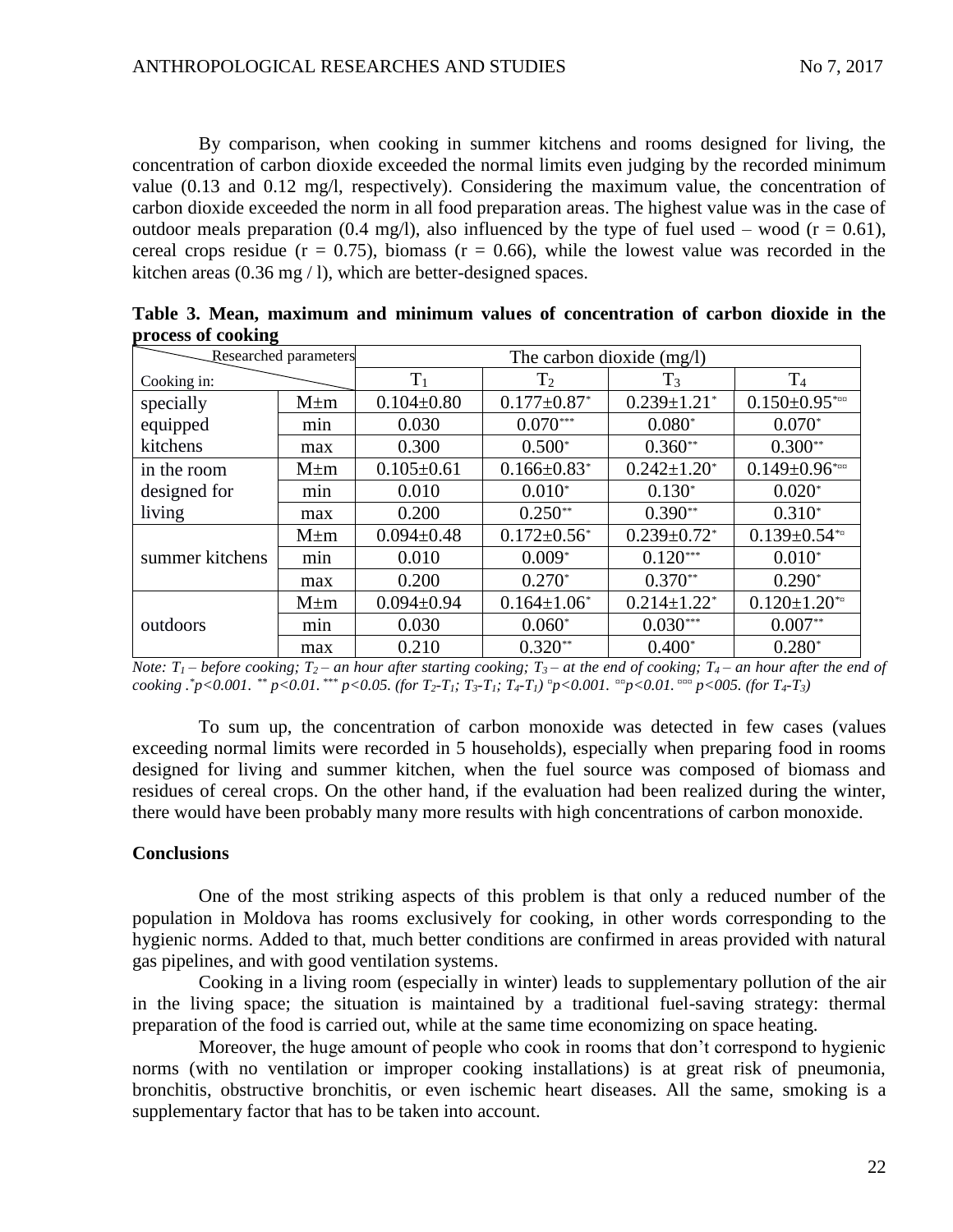By comparison, when cooking in summer kitchens and rooms designed for living, the concentration of carbon dioxide exceeded the normal limits even judging by the recorded minimum value (0.13 and 0.12 mg/l, respectively). Considering the maximum value, the concentration of carbon dioxide exceeded the norm in all food preparation areas. The highest value was in the case of outdoor meals preparation (0.4 mg/l), also influenced by the type of fuel used – wood ( $r = 0.61$ ), cereal crops residue ( $r = 0.75$ ), biomass ( $r = 0.66$ ), while the lowest value was recorded in the kitchen areas (0.36 mg / l), which are better-designed spaces.

| Researched parameters |           | The carbon dioxide $(mg/l)$ |                               |                               |                                |  |
|-----------------------|-----------|-----------------------------|-------------------------------|-------------------------------|--------------------------------|--|
| Cooking in:           |           | $T_1$                       | $\rm T_2$                     | $T_3$                         | T <sub>4</sub>                 |  |
| specially             | $M \pm m$ | $0.104 \pm 0.80$            | $0.177 \pm 0.87$ <sup>*</sup> | $0.239 \pm 1.21$ <sup>*</sup> | $0.150 \pm 0.95$ *¤¤           |  |
| equipped              | min       | 0.030                       | $0.070***$                    | $0.080*$                      | $0.070*$                       |  |
| kitchens              | max       | 0.300                       | $0.500*$                      | $0.360**$                     | $0.300**$                      |  |
| in the room           | $M \pm m$ | $0.105 \pm 0.61$            | $0.166 \pm 0.83$ <sup>*</sup> | $0.242 \pm 1.20$ *            | $0.149 \pm 0.96$ *xx           |  |
| designed for          | min       | 0.010                       | $0.010*$                      | $0.130*$                      | $0.020*$                       |  |
| living                | max       | 0.200                       | $0.250**$                     | $0.390**$                     | $0.310*$                       |  |
| summer kitchens       | $M \pm m$ | $0.094 \pm 0.48$            | $0.172 \pm 0.56^*$            | $0.239 \pm 0.72$ *            | $0.139 \pm 0.54$ **            |  |
|                       | min       | 0.010                       | $0.009*$                      | $0.120***$                    | $0.010*$                       |  |
|                       | max       | 0.200                       | $0.270*$                      | $0.370**$                     | $0.290*$                       |  |
| outdoors              | $M \pm m$ | $0.094 \pm 0.94$            | $0.164 \pm 1.06^*$            | $0.214 \pm 1.22$ <sup>*</sup> | $0.120 \pm 1.20$ <sup>**</sup> |  |
|                       | mnn       | 0.030                       | $0.060*$                      | $0.030***$                    | $0.007**$                      |  |
|                       | max       | 0.210                       | $0.320**$                     | $0.400*$                      | $0.280*$                       |  |

**Table 3. Mean, maximum and minimum values of concentration of carbon dioxide in the process of cooking**

*Note:*  $T_1$  – *before cooking;*  $T_2$  – *an hour after starting cooking;*  $T_3$  – *at the end of cooking;*  $T_4$  – *an hour after the end of* cooking .\*p<0.001. \*\* p<0.01. \*\*\* p<0.05. (for  $T_2$ -T<sub>1</sub>;  $T_3$ -T<sub>1</sub>;  $T_4$ -T<sub>1</sub>)  ${}^{\text{m}}$ p<0.001.  ${}^{\text{mm}}$ p<0.01.  ${}^{\text{mm}}$ p<005. (for T<sub>4</sub>-T<sub>3</sub>)

To sum up, the concentration of carbon monoxide was detected in few cases (values exceeding normal limits were recorded in 5 households), especially when preparing food in rooms designed for living and summer kitchen, when the fuel source was composed of biomass and residues of cereal crops. On the other hand, if the evaluation had been realized during the winter, there would have been probably many more results with high concentrations of carbon monoxide.

### **Conclusions**

One of the most striking aspects of this problem is that only a reduced number of the population in Moldova has rooms exclusively for cooking, in other words corresponding to the hygienic norms. Added to that, much better conditions are confirmed in areas provided with natural gas pipelines, and with good ventilation systems.

Cooking in a living room (especially in winter) leads to supplementary pollution of the air in the living space; the situation is maintained by a traditional fuel-saving strategy: thermal preparation of the food is carried out, while at the same time economizing on space heating.

Moreover, the huge amount of people who cook in rooms that don't correspond to hygienic norms (with no ventilation or improper cooking installations) is at great risk of pneumonia, bronchitis, obstructive bronchitis, or even ischemic heart diseases. All the same, smoking is a supplementary factor that has to be taken into account.